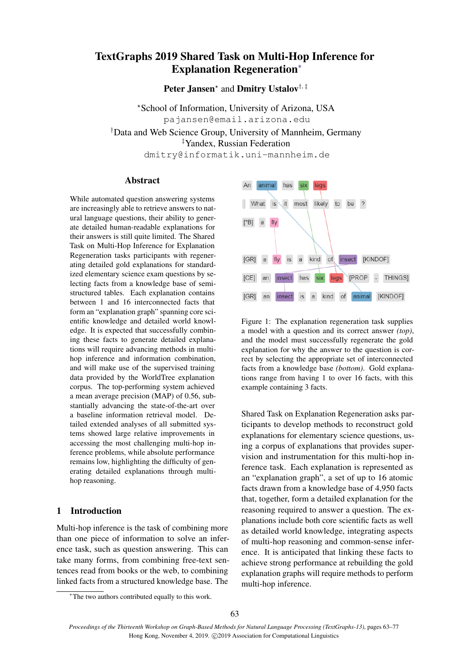# TextGraphs 2019 Shared Task on Multi-Hop Inference for Explanation Regeneration<sup>∗</sup>

Peter Jansen<sup>\*</sup> and Dmitry Ustalov<sup>†, ‡</sup>

?School of Information, University of Arizona, USA pajansen@email.arizona.edu †Data and Web Science Group, University of Mannheim, Germany ‡Yandex, Russian Federation dmitry@informatik.uni-mannheim.de

#### Abstract

While automated question answering systems are increasingly able to retrieve answers to natural language questions, their ability to generate detailed human-readable explanations for their answers is still quite limited. The Shared Task on Multi-Hop Inference for Explanation Regeneration tasks participants with regenerating detailed gold explanations for standardized elementary science exam questions by selecting facts from a knowledge base of semistructured tables. Each explanation contains between 1 and 16 interconnected facts that form an "explanation graph" spanning core scientific knowledge and detailed world knowledge. It is expected that successfully combining these facts to generate detailed explanations will require advancing methods in multihop inference and information combination, and will make use of the supervised training data provided by the WorldTree explanation corpus. The top-performing system achieved a mean average precision (MAP) of 0.56, substantially advancing the state-of-the-art over a baseline information retrieval model. Detailed extended analyses of all submitted systems showed large relative improvements in accessing the most challenging multi-hop inference problems, while absolute performance remains low, highlighting the difficulty of generating detailed explanations through multihop reasoning.

# 1 Introduction

Multi-hop inference is the task of combining more than one piece of information to solve an inference task, such as question answering. This can take many forms, from combining free-text sentences read from books or the web, to combining linked facts from a structured knowledge base. The

<span id="page-0-0"></span>

Figure 1: The explanation regeneration task supplies a model with a question and its correct answer *(top)*, and the model must successfully regenerate the gold explanation for why the answer to the question is correct by selecting the appropriate set of interconnected facts from a knowledge base *(bottom)*. Gold explanations range from having 1 to over 16 facts, with this example containing 3 facts.

Shared Task on Explanation Regeneration asks participants to develop methods to reconstruct gold explanations for elementary science questions, using a corpus of explanations that provides supervision and instrumentation for this multi-hop inference task. Each explanation is represented as an "explanation graph", a set of up to 16 atomic facts drawn from a knowledge base of 4,950 facts that, together, form a detailed explanation for the reasoning required to answer a question. The explanations include both core scientific facts as well as detailed world knowledge, integrating aspects of multi-hop reasoning and common-sense inference. It is anticipated that linking these facts to achieve strong performance at rebuilding the gold explanation graphs will require methods to perform multi-hop inference.

<sup>∗</sup>The two authors contributed equally to this work.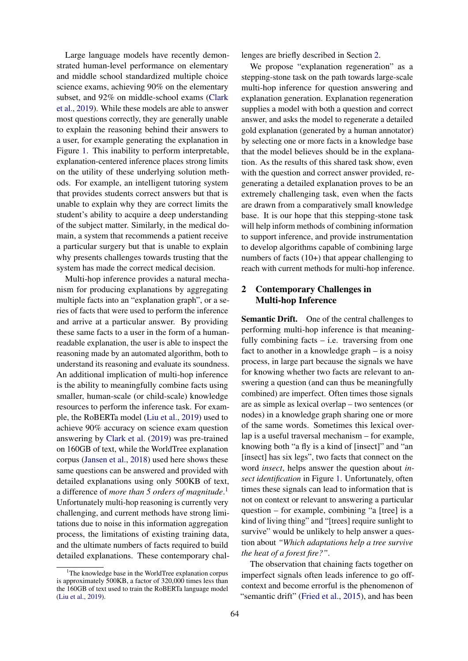Large language models have recently demonstrated human-level performance on elementary and middle school standardized multiple choice science exams, achieving 90% on the elementary subset, and 92% on middle-school exams [\(Clark](#page-13-0) [et al.,](#page-13-0) [2019\)](#page-13-0). While these models are able to answer most questions correctly, they are generally unable to explain the reasoning behind their answers to a user, for example generating the explanation in Figure [1.](#page-0-0) This inability to perform interpretable, explanation-centered inference places strong limits on the utility of these underlying solution methods. For example, an intelligent tutoring system that provides students correct answers but that is unable to explain why they are correct limits the student's ability to acquire a deep understanding of the subject matter. Similarly, in the medical domain, a system that recommends a patient receive a particular surgery but that is unable to explain why presents challenges towards trusting that the system has made the correct medical decision.

Multi-hop inference provides a natural mechanism for producing explanations by aggregating multiple facts into an "explanation graph", or a series of facts that were used to perform the inference and arrive at a particular answer. By providing these same facts to a user in the form of a humanreadable explanation, the user is able to inspect the reasoning made by an automated algorithm, both to understand its reasoning and evaluate its soundness. An additional implication of multi-hop inference is the ability to meaningfully combine facts using smaller, human-scale (or child-scale) knowledge resources to perform the inference task. For example, the RoBERTa model [\(Liu et al.,](#page-14-0) [2019\)](#page-14-0) used to achieve 90% accuracy on science exam question answering by [Clark et al.](#page-13-0) [\(2019\)](#page-13-0) was pre-trained on 160GB of text, while the WorldTree explanation corpus [\(Jansen et al.,](#page-14-1) [2018\)](#page-14-1) used here shows these same questions can be answered and provided with detailed explanations using only 500KB of text, a difference of *more than 5 orders of magnitude*. [1](#page-1-0) Unfortunately multi-hop reasoning is currently very challenging, and current methods have strong limitations due to noise in this information aggregation process, the limitations of existing training data, and the ultimate numbers of facts required to build detailed explanations. These contemporary chal-

<span id="page-1-0"></span><sup>1</sup>The knowledge base in the WorldTree explanation corpus is approximately 500KB, a factor of 320,000 times less than the 160GB of text used to train the RoBERTa language model [\(Liu et al.,](#page-14-0) [2019\)](#page-14-0).

lenges are briefly described in Section [2.](#page-1-1)

We propose "explanation regeneration" as a stepping-stone task on the path towards large-scale multi-hop inference for question answering and explanation generation. Explanation regeneration supplies a model with both a question and correct answer, and asks the model to regenerate a detailed gold explanation (generated by a human annotator) by selecting one or more facts in a knowledge base that the model believes should be in the explanation. As the results of this shared task show, even with the question and correct answer provided, regenerating a detailed explanation proves to be an extremely challenging task, even when the facts are drawn from a comparatively small knowledge base. It is our hope that this stepping-stone task will help inform methods of combining information to support inference, and provide instrumentation to develop algorithms capable of combining large numbers of facts (10+) that appear challenging to reach with current methods for multi-hop inference.

# <span id="page-1-1"></span>2 Contemporary Challenges in Multi-hop Inference

Semantic Drift. One of the central challenges to performing multi-hop inference is that meaningfully combining facts  $-$  i.e. traversing from one fact to another in a knowledge graph – is a noisy process, in large part because the signals we have for knowing whether two facts are relevant to answering a question (and can thus be meaningfully combined) are imperfect. Often times those signals are as simple as lexical overlap – two sentences (or nodes) in a knowledge graph sharing one or more of the same words. Sometimes this lexical overlap is a useful traversal mechanism – for example, knowing both "a fly is a kind of [insect]" and "an [insect] has six legs", two facts that connect on the word *insect*, helps answer the question about *insect identification* in Figure [1.](#page-0-0) Unfortunately, often times these signals can lead to information that is not on context or relevant to answering a particular question – for example, combining "a [tree] is a kind of living thing" and "[trees] require sunlight to survive" would be unlikely to help answer a question about *"Which adaptations help a tree survive the heat of a forest fire?"*.

The observation that chaining facts together on imperfect signals often leads inference to go offcontext and become errorful is the phenomenon of "semantic drift" [\(Fried et al.,](#page-13-1) [2015\)](#page-13-1), and has been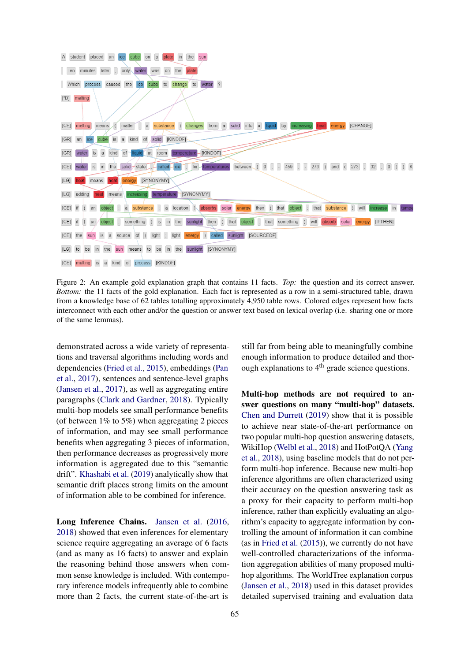<span id="page-2-0"></span>

Figure 2: An example gold explanation graph that contains 11 facts. *Top:* the question and its correct answer. *Bottom:* the 11 facts of the gold explanation. Each fact is represented as a row in a semi-structured table, drawn from a knowledge base of 62 tables totalling approximately 4,950 table rows. Colored edges represent how facts interconnect with each other and/or the question or answer text based on lexical overlap (i.e. sharing one or more of the same lemmas).

demonstrated across a wide variety of representations and traversal algorithms including words and dependencies [\(Fried et al.,](#page-13-1) [2015\)](#page-13-1), embeddings [\(Pan](#page-14-2) [et al.,](#page-14-2) [2017\)](#page-14-2), sentences and sentence-level graphs [\(Jansen et al.,](#page-14-3) [2017\)](#page-14-3), as well as aggregating entire paragraphs [\(Clark and Gardner,](#page-13-2) [2018\)](#page-13-2). Typically multi-hop models see small performance benefits (of between  $1\%$  to 5%) when aggregating 2 pieces of information, and may see small performance benefits when aggregating 3 pieces of information, then performance decreases as progressively more information is aggregated due to this "semantic drift". [Khashabi et al.](#page-14-4) [\(2019\)](#page-14-4) analytically show that semantic drift places strong limits on the amount of information able to be combined for inference.

Long Inference Chains. [Jansen et al.](#page-14-5) [\(2016,](#page-14-5) [2018\)](#page-14-1) showed that even inferences for elementary science require aggregating an average of 6 facts (and as many as 16 facts) to answer and explain the reasoning behind those answers when common sense knowledge is included. With contemporary inference models infrequently able to combine more than 2 facts, the current state-of-the-art is still far from being able to meaningfully combine enough information to produce detailed and thorough explanations to  $4<sup>th</sup>$  grade science questions.

Multi-hop methods are not required to answer questions on many "multi-hop" datasets. [Chen and Durrett](#page-13-3) [\(2019\)](#page-13-3) show that it is possible to achieve near state-of-the-art performance on two popular multi-hop question answering datasets, WikiHop [\(Welbl et al.,](#page-14-6) [2018\)](#page-14-6) and HotPotQA [\(Yang](#page-14-7) [et al.,](#page-14-7) [2018\)](#page-14-7), using baseline models that do not perform multi-hop inference. Because new multi-hop inference algorithms are often characterized using their accuracy on the question answering task as a proxy for their capacity to perform multi-hop inference, rather than explicitly evaluating an algorithm's capacity to aggregate information by controlling the amount of information it can combine (as in [Fried et al.](#page-13-1) [\(2015\)](#page-13-1)), we currently do not have well-controlled characterizations of the information aggregation abilities of many proposed multihop algorithms. The WorldTree explanation corpus [\(Jansen et al.,](#page-14-1) [2018\)](#page-14-1) used in this dataset provides detailed supervised training and evaluation data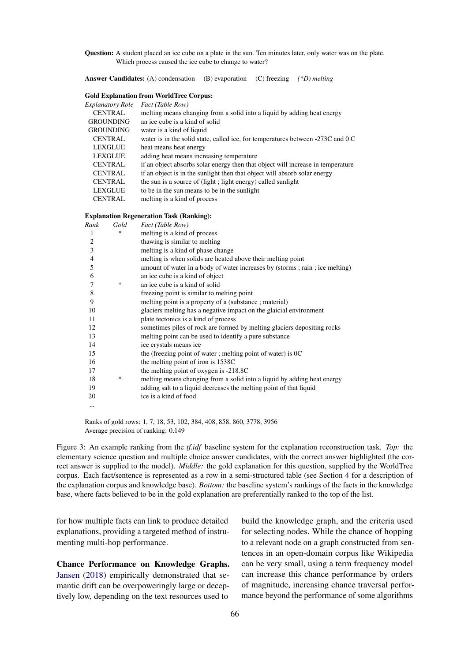<span id="page-3-0"></span>Question: A student placed an ice cube on a plate in the sun. Ten minutes later, only water was on the plate. Which process caused the ice cube to change to water?

Answer Candidates: (A) condensation (B) evaporation (C) freezing *(\*D) melting*

#### Gold Explanation from WorldTree Corpus:

| Explanatory Role | Fact (Table Row)                                                                |
|------------------|---------------------------------------------------------------------------------|
| <b>CENTRAL</b>   | melting means changing from a solid into a liquid by adding heat energy         |
| <b>GROUNDING</b> | an ice cube is a kind of solid                                                  |
| <b>GROUNDING</b> | water is a kind of liquid                                                       |
| <b>CENTRAL</b>   | water is in the solid state, called ice, for temperatures between -273C and 0 C |
| <b>LEXGLUE</b>   | heat means heat energy                                                          |
| LEXGLUE          | adding heat means increasing temperature                                        |
| <b>CENTRAL</b>   | if an object absorbs solar energy then that object will increase in temperature |
| <b>CENTRAL</b>   | if an object is in the sunlight then that object will absorb solar energy       |
| <b>CENTRAL</b>   | the sun is a source of (light; light energy) called sunlight                    |
| <b>LEXGLUE</b>   | to be in the sun means to be in the sunlight                                    |
| <b>CENTRAL</b>   | melting is a kind of process                                                    |

#### Explanation Regeneration Task (Ranking):

| Rank           | Gold   | Fact (Table Row)                                                            |
|----------------|--------|-----------------------------------------------------------------------------|
| 1              | $\ast$ | melting is a kind of process                                                |
| 2              |        | thawing is similar to melting                                               |
| 3              |        | melting is a kind of phase change                                           |
| $\overline{4}$ |        | melting is when solids are heated above their melting point                 |
| 5              |        | amount of water in a body of water increases by (storms; rain; ice melting) |
| 6              |        | an ice cube is a kind of object                                             |
| 7              | ∗      | an ice cube is a kind of solid                                              |
| 8              |        | freezing point is similar to melting point                                  |
| 9              |        | melting point is a property of a (substance; material)                      |
| 10             |        | glaciers melting has a negative impact on the glaicial environment          |
| 11             |        | plate tectonics is a kind of process                                        |
| 12             |        | sometimes piles of rock are formed by melting glaciers depositing rocks     |
| 13             |        | melting point can be used to identify a pure substance                      |
| 14             |        | ice crystals means ice                                                      |
| 15             |        | the (freezing point of water; melting point of water) is $0C$               |
| 16             |        | the melting point of iron is 1538C                                          |
| 17             |        | the melting point of oxygen is -218.8C                                      |
| 18             | ∗      | melting means changing from a solid into a liquid by adding heat energy     |
| 19             |        | adding salt to a liquid decreases the melting point of that liquid          |
| 20             |        | ice is a kind of food                                                       |
|                |        |                                                                             |

Ranks of gold rows: 1, 7, 18, 53, 102, 384, 408, 858, 860, 3778, 3956 Average precision of ranking: 0.149

Figure 3: An example ranking from the *tf.idf* baseline system for the explanation reconstruction task. *Top:* the elementary science question and multiple choice answer candidates, with the correct answer highlighted (the correct answer is supplied to the model). *Middle:* the gold explanation for this question, supplied by the WorldTree corpus. Each fact/sentence is represented as a row in a semi-structured table (see Section [4](#page-4-0) for a description of the explanation corpus and knowledge base). *Bottom:* the baseline system's rankings of the facts in the knowledge base, where facts believed to be in the gold explanation are preferentially ranked to the top of the list.

for how multiple facts can link to produce detailed explanations, providing a targeted method of instrumenting multi-hop performance.

Chance Performance on Knowledge Graphs. [Jansen](#page-13-4) [\(2018\)](#page-13-4) empirically demonstrated that semantic drift can be overpoweringly large or deceptively low, depending on the text resources used to

build the knowledge graph, and the criteria used for selecting nodes. While the chance of hopping to a relevant node on a graph constructed from sentences in an open-domain corpus like Wikipedia can be very small, using a term frequency model can increase this chance performance by orders of magnitude, increasing chance traversal performance beyond the performance of some algorithms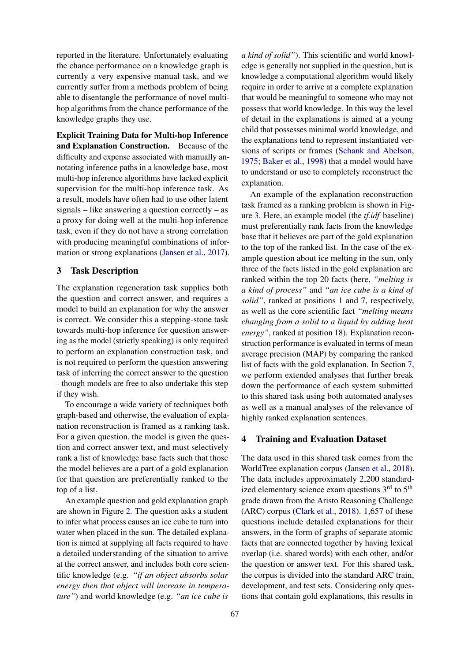reported in the literature. Unfortunately evaluating the chance performance on a knowledge graph is currently a very expensive manual task, and we currently suffer from a methods problem of being able to disentangle the performance of novel multihop algorithms from the chance performance of the knowledge graphs they use.

Explicit Training Data for Multi-hop Inference and Explanation Construction. Because of the difficulty and expense associated with manually annotating inference paths in a knowledge base, most multi-hop inference algorithms have lacked explicit supervision for the multi-hop inference task. As a result, models have often had to use other latent signals – like answering a question correctly – as a proxy for doing well at the multi-hop inference task, even if they do not have a strong correlation with producing meaningful combinations of information or strong explanations [\(Jansen et al.,](#page-14-3) [2017\)](#page-14-3).

### 3 Task Description

The explanation regeneration task supplies both the question and correct answer, and requires a model to build an explanation for why the answer is correct. We consider this a stepping-stone task towards multi-hop inference for question answering as the model (strictly speaking) is only required to perform an explanation construction task, and is not required to perform the question answering task of inferring the correct answer to the question – though models are free to also undertake this step if they wish.

To encourage a wide variety of techniques both graph-based and otherwise, the evaluation of explanation reconstruction is framed as a ranking task. For a given question, the model is given the question and correct answer text, and must selectively rank a list of knowledge base facts such that those the model believes are a part of a gold explanation for that question are preferentially ranked to the top of a list.

An example question and gold explanation graph are shown in Figure [2.](#page-2-0) The question asks a student to infer what process causes an ice cube to turn into water when placed in the sun. The detailed explanation is aimed at supplying all facts required to have a detailed understanding of the situation to arrive at the correct answer, and includes both core scientific knowledge (e.g. *"if an object absorbs solar energy then that object will increase in temperature"*) and world knowledge (e.g. *"an ice cube is* *a kind of solid"*). This scientific and world knowledge is generally not supplied in the question, but is knowledge a computational algorithm would likely require in order to arrive at a complete explanation that would be meaningful to someone who may not possess that world knowledge. In this way the level of detail in the explanations is aimed at a young child that possesses minimal world knowledge, and the explanations tend to represent instantiated versions of scripts or frames [\(Schank and Abelson,](#page-14-8) [1975;](#page-14-8) [Baker et al.,](#page-13-5) [1998\)](#page-13-5) that a model would have to understand or use to completely reconstruct the explanation.

An example of the explanation reconstruction task framed as a ranking problem is shown in Figure [3.](#page-3-0) Here, an example model (the *tf.idf* baseline) must preferentially rank facts from the knowledge base that it believes are part of the gold explanation to the top of the ranked list. In the case of the example question about ice melting in the sun, only three of the facts listed in the gold explanation are ranked within the top 20 facts (here, *"melting is a kind of process"* and *"an ice cube is a kind of solid"*, ranked at positions 1 and 7, respectively, as well as the core scientific fact *"melting means changing from a solid to a liquid by adding heat energy"*, ranked at position 18). Explanation reconstruction performance is evaluated in terms of mean average precision (MAP) by comparing the ranked list of facts with the gold explanation. In Section [7,](#page-7-0) we perform extended analyses that further break down the performance of each system submitted to this shared task using both automated analyses as well as a manual analyses of the relevance of highly ranked explanation sentences.

#### <span id="page-4-0"></span>4 Training and Evaluation Dataset

The data used in this shared task comes from the WorldTree explanation corpus [\(Jansen et al.,](#page-14-1) [2018\)](#page-14-1). The data includes approximately 2,200 standardized elementary science exam questions  $3<sup>rd</sup>$  to  $5<sup>th</sup>$ grade drawn from the Aristo Reasoning Challenge (ARC) corpus [\(Clark et al.,](#page-13-6) [2018\)](#page-13-6). 1,657 of these questions include detailed explanations for their answers, in the form of graphs of separate atomic facts that are connected together by having lexical overlap (i.e. shared words) with each other, and/or the question or answer text. For this shared task, the corpus is divided into the standard ARC train, development, and test sets. Considering only questions that contain gold explanations, this results in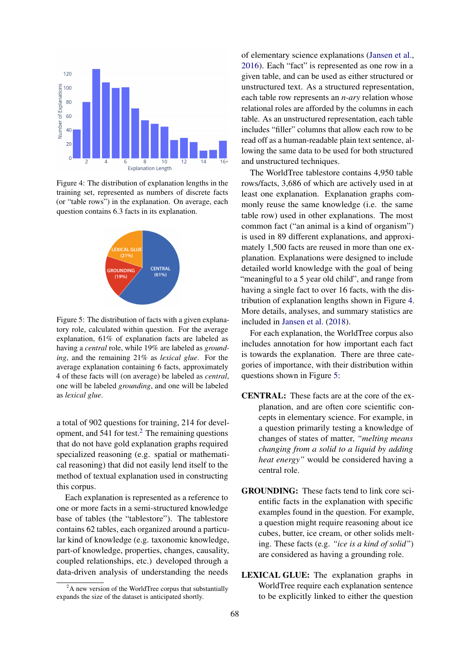<span id="page-5-1"></span>

Figure 4: The distribution of explanation lengths in the training set, represented as numbers of discrete facts (or "table rows") in the explanation. On average, each question contains 6.3 facts in its explanation.

<span id="page-5-2"></span>

Figure 5: The distribution of facts with a given explanatory role, calculated within question. For the average explanation, 61% of explanation facts are labeled as having a *central* role, while 19% are labeled as *grounding*, and the remaining 21% as *lexical glue*. For the average explanation containing 6 facts, approximately 4 of these facts will (on average) be labeled as *central*, one will be labeled *grounding*, and one will be labeled as *lexical glue*.

a total of 902 questions for training, 214 for development, and  $541$  for test.<sup>[2](#page-5-0)</sup> The remaining questions that do not have gold explanation graphs required specialized reasoning (e.g. spatial or mathematical reasoning) that did not easily lend itself to the method of textual explanation used in constructing this corpus.

Each explanation is represented as a reference to one or more facts in a semi-structured knowledge base of tables (the "tablestore"). The tablestore contains 62 tables, each organized around a particular kind of knowledge (e.g. taxonomic knowledge, part-of knowledge, properties, changes, causality, coupled relationships, etc.) developed through a data-driven analysis of understanding the needs

of elementary science explanations [\(Jansen et al.,](#page-14-5) [2016\)](#page-14-5). Each "fact" is represented as one row in a given table, and can be used as either structured or unstructured text. As a structured representation, each table row represents an *n-ary* relation whose relational roles are afforded by the columns in each table. As an unstructured representation, each table includes "filler" columns that allow each row to be read off as a human-readable plain text sentence, allowing the same data to be used for both structured and unstructured techniques.

The WorldTree tablestore contains 4,950 table rows/facts, 3,686 of which are actively used in at least one explanation. Explanation graphs commonly reuse the same knowledge (i.e. the same table row) used in other explanations. The most common fact ("an animal is a kind of organism") is used in 89 different explanations, and approximately 1,500 facts are reused in more than one explanation. Explanations were designed to include detailed world knowledge with the goal of being "meaningful to a 5 year old child", and range from having a single fact to over 16 facts, with the distribution of explanation lengths shown in Figure [4.](#page-5-1) More details, analyses, and summary statistics are included in [Jansen et al.](#page-14-1) [\(2018\)](#page-14-1).

For each explanation, the WorldTree corpus also includes annotation for how important each fact is towards the explanation. There are three categories of importance, with their distribution within questions shown in Figure [5:](#page-5-2)

- CENTRAL: These facts are at the core of the explanation, and are often core scientific concepts in elementary science. For example, in a question primarily testing a knowledge of changes of states of matter, *"melting means changing from a solid to a liquid by adding heat energy"* would be considered having a central role.
- GROUNDING: These facts tend to link core scientific facts in the explanation with specific examples found in the question. For example, a question might require reasoning about ice cubes, butter, ice cream, or other solids melting. These facts (e.g. *"ice is a kind of solid"*) are considered as having a grounding role.
- LEXICAL GLUE: The explanation graphs in WorldTree require each explanation sentence to be explicitly linked to either the question

<span id="page-5-0"></span> $2<sup>2</sup>A$  new version of the WorldTree corpus that substantially expands the size of the dataset is anticipated shortly.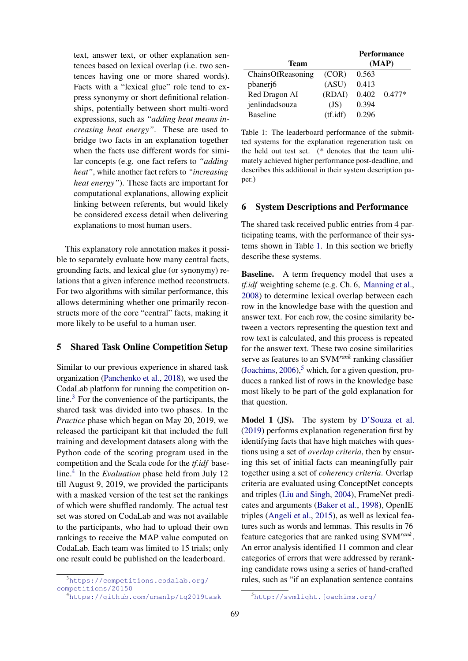text, answer text, or other explanation sentences based on lexical overlap (i.e. two sentences having one or more shared words). Facts with a "lexical glue" role tend to express synonymy or short definitional relationships, potentially between short multi-word expressions, such as *"adding heat means increasing heat energy"*. These are used to bridge two facts in an explanation together when the facts use different words for similar concepts (e.g. one fact refers to *"adding heat"*, while another fact refers to *"increasing heat energy"*). These facts are important for computational explanations, allowing explicit linking between referents, but would likely be considered excess detail when delivering explanations to most human users.

This explanatory role annotation makes it possible to separately evaluate how many central facts, grounding facts, and lexical glue (or synonymy) relations that a given inference method reconstructs. For two algorithms with similar performance, this allows determining whether one primarily reconstructs more of the core "central" facts, making it more likely to be useful to a human user.

## 5 Shared Task Online Competition Setup

Similar to our previous experience in shared task organization [\(Panchenko et al.,](#page-14-9) [2018\)](#page-14-9), we used the CodaLab platform for running the competition online.[3](#page-6-0) For the convenience of the participants, the shared task was divided into two phases. In the *Practice* phase which began on May 20, 2019, we released the participant kit that included the full training and development datasets along with the Python code of the scoring program used in the competition and the Scala code for the *tf.idf* baseline.[4](#page-6-1) In the *Evaluation* phase held from July 12 till August 9, 2019, we provided the participants with a masked version of the test set the rankings of which were shuffled randomly. The actual test set was stored on CodaLab and was not available to the participants, who had to upload their own rankings to receive the MAP value computed on CodaLab. Each team was limited to 15 trials; only one result could be published on the leaderboard.

<span id="page-6-2"></span>

|                   | <b>Performance</b> |       |          |  |
|-------------------|--------------------|-------|----------|--|
| Team              |                    | (MAP) |          |  |
| ChainsOfReasoning | (COR)              | 0.563 |          |  |
| pbanerj6          | (ASU)              | 0.413 |          |  |
| Red Dragon AI     | (RDAI)             | 0.402 | $0.477*$ |  |
| jenlindadsouza    | (JS)               | 0.394 |          |  |
| <b>Baseline</b>   | $(t\text{f.idf})$  | 0.296 |          |  |
|                   |                    |       |          |  |

Table 1: The leaderboard performance of the submitted systems for the explanation regeneration task on the held out test set. (*\** denotes that the team ultimately achieved higher performance post-deadline, and describes this additional in their system description paper.)

#### 6 System Descriptions and Performance

The shared task received public entries from 4 participating teams, with the performance of their systems shown in Table [1.](#page-6-2) In this section we briefly describe these systems.

**Baseline.** A term frequency model that uses a *tf.idf* weighting scheme (e.g. Ch. 6, [Manning et al.,](#page-14-10) [2008\)](#page-14-10) to determine lexical overlap between each row in the knowledge base with the question and answer text. For each row, the cosine similarity between a vectors representing the question text and row text is calculated, and this process is repeated for the answer text. These two cosine similarities serve as features to an SVM*rank* ranking classifier [\(Joachims,](#page-14-11)  $2006$ ), which, for a given question, produces a ranked list of rows in the knowledge base most likely to be part of the gold explanation for that question.

Model 1 (JS). The system by [D'Souza et al.](#page-13-7) [\(2019\)](#page-13-7) performs explanation regeneration first by identifying facts that have high matches with questions using a set of *overlap criteria*, then by ensuring this set of initial facts can meaningfully pair together using a set of *coherency criteria*. Overlap criteria are evaluated using ConceptNet concepts and triples [\(Liu and Singh,](#page-14-12) [2004\)](#page-14-12), FrameNet predicates and arguments [\(Baker et al.,](#page-13-5) [1998\)](#page-13-5), OpenIE triples [\(Angeli et al.,](#page-13-8) [2015\)](#page-13-8), as well as lexical features such as words and lemmas. This results in 76 feature categories that are ranked using SVM*rank* . An error analysis identified 11 common and clear categories of errors that were addressed by reranking candidate rows using a series of hand-crafted rules, such as "if an explanation sentence contains

<span id="page-6-0"></span><sup>3</sup>[https://competitions.codalab.org/](https://competitions.codalab.org/competitions/20150) [competitions/20150](https://competitions.codalab.org/competitions/20150)

<span id="page-6-1"></span><sup>4</sup><https://github.com/umanlp/tg2019task>

<span id="page-6-3"></span><sup>5</sup><http://svmlight.joachims.org/>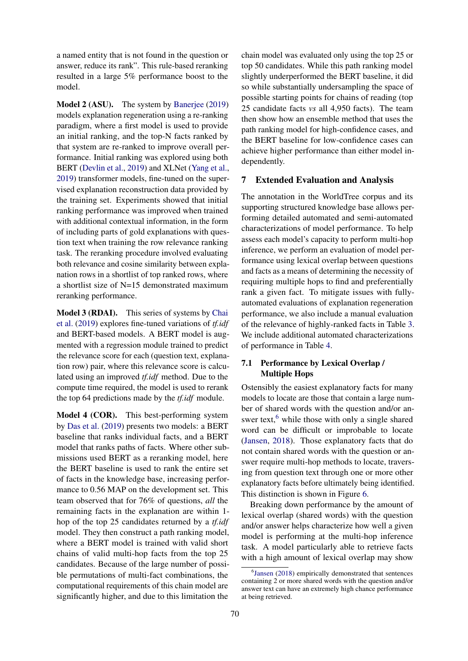a named entity that is not found in the question or answer, reduce its rank". This rule-based reranking resulted in a large 5% performance boost to the model.

Model 2 (ASU). The system by [Banerjee](#page-13-9) [\(2019\)](#page-13-9) models explanation regeneration using a re-ranking paradigm, where a first model is used to provide an initial ranking, and the top-N facts ranked by that system are re-ranked to improve overall performance. Initial ranking was explored using both BERT [\(Devlin et al.,](#page-13-10) [2019\)](#page-13-10) and XLNet [\(Yang et al.,](#page-14-13) [2019\)](#page-14-13) transformer models, fine-tuned on the supervised explanation reconstruction data provided by the training set. Experiments showed that initial ranking performance was improved when trained with additional contextual information, in the form of including parts of gold explanations with question text when training the row relevance ranking task. The reranking procedure involved evaluating both relevance and cosine similarity between explanation rows in a shortlist of top ranked rows, where a shortlist size of N=15 demonstrated maximum reranking performance.

Model 3 (RDAI). This series of systems by [Chai](#page-13-11) [et al.](#page-13-11) [\(2019\)](#page-13-11) explores fine-tuned variations of *tf.idf* and BERT-based models. A BERT model is augmented with a regression module trained to predict the relevance score for each (question text, explanation row) pair, where this relevance score is calculated using an improved *tf.idf* method. Due to the compute time required, the model is used to rerank the top 64 predictions made by the *tf.idf* module.

Model 4 (COR). This best-performing system by [Das et al.](#page-13-12) [\(2019\)](#page-13-12) presents two models: a BERT baseline that ranks individual facts, and a BERT model that ranks paths of facts. Where other submissions used BERT as a reranking model, here the BERT baseline is used to rank the entire set of facts in the knowledge base, increasing performance to 0.56 MAP on the development set. This team observed that for 76% of questions, *all* the remaining facts in the explanation are within 1 hop of the top 25 candidates returned by a *tf.idf* model. They then construct a path ranking model, where a BERT model is trained with valid short chains of valid multi-hop facts from the top 25 candidates. Because of the large number of possible permutations of multi-fact combinations, the computational requirements of this chain model are significantly higher, and due to this limitation the

chain model was evaluated only using the top 25 or top 50 candidates. While this path ranking model slightly underperformed the BERT baseline, it did so while substantially undersampling the space of possible starting points for chains of reading (top 25 candidate facts *vs* all 4,950 facts). The team then show how an ensemble method that uses the path ranking model for high-confidence cases, and the BERT baseline for low-confidence cases can achieve higher performance than either model independently.

#### <span id="page-7-0"></span>7 Extended Evaluation and Analysis

The annotation in the WorldTree corpus and its supporting structured knowledge base allows performing detailed automated and semi-automated characterizations of model performance. To help assess each model's capacity to perform multi-hop inference, we perform an evaluation of model performance using lexical overlap between questions and facts as a means of determining the necessity of requiring multiple hops to find and preferentially rank a given fact. To mitigate issues with fullyautomated evaluations of explanation regeneration performance, we also include a manual evaluation of the relevance of highly-ranked facts in Table [3.](#page-10-0) We include additional automated characterizations of performance in Table [4.](#page-11-0)

### 7.1 Performance by Lexical Overlap / Multiple Hops

Ostensibly the easiest explanatory facts for many models to locate are those that contain a large number of shared words with the question and/or answer text, $<sup>6</sup>$  $<sup>6</sup>$  $<sup>6</sup>$  while those with only a single shared</sup> word can be difficult or improbable to locate [\(Jansen,](#page-13-4) [2018\)](#page-13-4). Those explanatory facts that do not contain shared words with the question or answer require multi-hop methods to locate, traversing from question text through one or more other explanatory facts before ultimately being identified. This distinction is shown in Figure [6.](#page-9-0)

Breaking down performance by the amount of lexical overlap (shared words) with the question and/or answer helps characterize how well a given model is performing at the multi-hop inference task. A model particularly able to retrieve facts with a high amount of lexical overlap may show

<span id="page-7-1"></span><sup>6</sup> [Jansen](#page-13-4) [\(2018\)](#page-13-4) empirically demonstrated that sentences containing 2 or more shared words with the question and/or answer text can have an extremely high chance performance at being retrieved.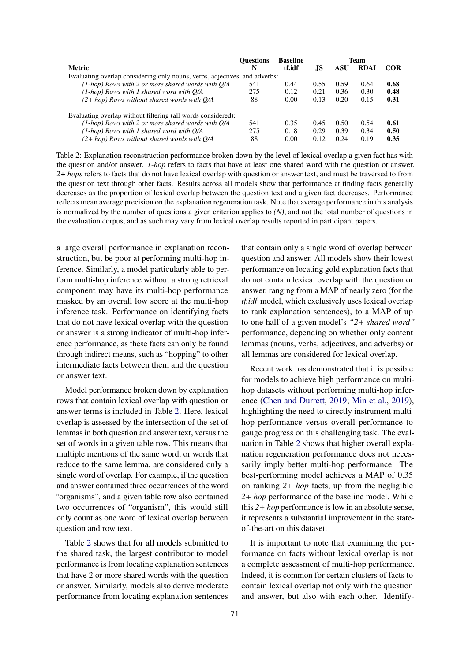<span id="page-8-0"></span>

|                                                                            | <b>Ouestions</b> | <b>Baseline</b> | Team |      |             |            |
|----------------------------------------------------------------------------|------------------|-----------------|------|------|-------------|------------|
| Metric                                                                     | N                | tf.idf          | .JS  | ASU  | <b>RDAI</b> | <b>COR</b> |
| Evaluating overlap considering only nouns, verbs, adjectives, and adverbs: |                  |                 |      |      |             |            |
| $(1-hop)$ Rows with 2 or more shared words with $O/A$                      | 541              | 0.44            | 0.55 | 0.59 | 0.64        | 0.68       |
| $(1-hop)$ Rows with 1 shared word with $O/A$                               | 275              | 0.12            | 0.21 | 0.36 | 0.30        | 0.48       |
| $(2+hop)$ Rows without shared words with O/A                               | 88               | 0.00            | 0.13 | 0.20 | 0.15        | 0.31       |
| Evaluating overlap without filtering (all words considered):               |                  |                 |      |      |             |            |
| $(1-hop)$ Rows with 2 or more shared words with $Q/A$                      | 541              | 0.35            | 0.45 | 0.50 | 0.54        | 0.61       |
| $(1-hop)$ Rows with 1 shared word with $O/A$                               | 275              | 0.18            | 0.29 | 0.39 | 0.34        | 0.50       |
| $(2+hop)$ Rows without shared words with O/A                               | 88               | 0.00            | 0.12 | 0.24 | 0.19        | 0.35       |

Table 2: Explanation reconstruction performance broken down by the level of lexical overlap a given fact has with the question and/or answer. *1-hop* refers to facts that have at least one shared word with the question or answer. *2+ hops* refers to facts that do not have lexical overlap with question or answer text, and must be traversed to from the question text through other facts. Results across all models show that performance at finding facts generally decreases as the proportion of lexical overlap between the question text and a given fact decreases. Performance reflects mean average precision on the explanation regeneration task. Note that average performance in this analysis is normalized by the number of questions a given criterion applies to *(N)*, and not the total number of questions in the evaluation corpus, and as such may vary from lexical overlap results reported in participant papers.

a large overall performance in explanation reconstruction, but be poor at performing multi-hop inference. Similarly, a model particularly able to perform multi-hop inference without a strong retrieval component may have its multi-hop performance masked by an overall low score at the multi-hop inference task. Performance on identifying facts that do not have lexical overlap with the question or answer is a strong indicator of multi-hop inference performance, as these facts can only be found through indirect means, such as "hopping" to other intermediate facts between them and the question or answer text.

Model performance broken down by explanation rows that contain lexical overlap with question or answer terms is included in Table [2.](#page-8-0) Here, lexical overlap is assessed by the intersection of the set of lemmas in both question and answer text, versus the set of words in a given table row. This means that multiple mentions of the same word, or words that reduce to the same lemma, are considered only a single word of overlap. For example, if the question and answer contained three occurrences of the word "organisms", and a given table row also contained two occurrences of "organism", this would still only count as one word of lexical overlap between question and row text.

Table [2](#page-8-0) shows that for all models submitted to the shared task, the largest contributor to model performance is from locating explanation sentences that have 2 or more shared words with the question or answer. Similarly, models also derive moderate performance from locating explanation sentences that contain only a single word of overlap between question and answer. All models show their lowest performance on locating gold explanation facts that do not contain lexical overlap with the question or answer, ranging from a MAP of nearly zero (for the *tf.idf* model, which exclusively uses lexical overlap to rank explanation sentences), to a MAP of up to one half of a given model's *"2+ shared word"* performance, depending on whether only content lemmas (nouns, verbs, adjectives, and adverbs) or all lemmas are considered for lexical overlap.

Recent work has demonstrated that it is possible for models to achieve high performance on multihop datasets without performing multi-hop inference [\(Chen and Durrett,](#page-13-3) [2019;](#page-13-3) [Min et al.,](#page-14-14) [2019\)](#page-14-14), highlighting the need to directly instrument multihop performance versus overall performance to gauge progress on this challenging task. The evaluation in Table [2](#page-8-0) shows that higher overall explanation regeneration performance does not necessarily imply better multi-hop performance. The best-performing model achieves a MAP of 0.35 on ranking *2+ hop* facts, up from the negligible *2+ hop* performance of the baseline model. While this *2+ hop* performance is low in an absolute sense, it represents a substantial improvement in the stateof-the-art on this dataset.

It is important to note that examining the performance on facts without lexical overlap is not a complete assessment of multi-hop performance. Indeed, it is common for certain clusters of facts to contain lexical overlap not only with the question and answer, but also with each other. Identify-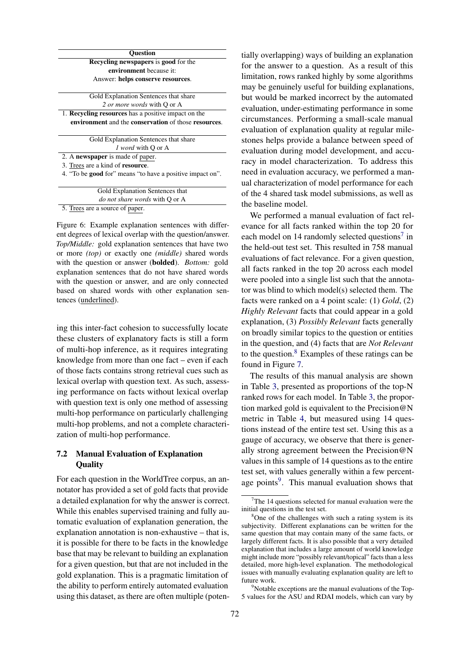<span id="page-9-0"></span>

| <b>Ouestion</b>                                                  |  |
|------------------------------------------------------------------|--|
| <b>Recycling newspapers is good for the</b>                      |  |
| environment because it:                                          |  |
| Answer: helps conserve resources.                                |  |
|                                                                  |  |
| Gold Explanation Sentences that share                            |  |
| 2 or more words with Q or A                                      |  |
| 1. Recycling resources has a positive impact on the              |  |
|                                                                  |  |
| environment and the conservation of those resources.             |  |
|                                                                  |  |
| Gold Explanation Sentences that share                            |  |
| 1 word with O or A                                               |  |
| 2. A newspaper is made of paper.                                 |  |
| 3. Trees are a kind of <b>resource</b> .                         |  |
| 4. "To be <b>good</b> for" means "to have a positive impact on". |  |
|                                                                  |  |
| Gold Explanation Sentences that                                  |  |

5. Trees are a source of paper.

Figure 6: Example explanation sentences with different degrees of lexical overlap with the question/answer. *Top/Middle:* gold explanation sentences that have two or more *(top)* or exactly one *(middle)* shared words with the question or answer (bolded). *Bottom:* gold explanation sentences that do not have shared words with the question or answer, and are only connected based on shared words with other explanation sentences (underlined).

ing this inter-fact cohesion to successfully locate these clusters of explanatory facts is still a form of multi-hop inference, as it requires integrating knowledge from more than one fact – even if each of those facts contains strong retrieval cues such as lexical overlap with question text. As such, assessing performance on facts without lexical overlap with question text is only one method of assessing multi-hop performance on particularly challenging multi-hop problems, and not a complete characterization of multi-hop performance.

### 7.2 Manual Evaluation of Explanation **Ouality**

For each question in the WorldTree corpus, an annotator has provided a set of gold facts that provide a detailed explanation for why the answer is correct. While this enables supervised training and fully automatic evaluation of explanation generation, the explanation annotation is non-exhaustive – that is, it is possible for there to be facts in the knowledge base that may be relevant to building an explanation for a given question, but that are not included in the gold explanation. This is a pragmatic limitation of the ability to perform entirely automated evaluation using this dataset, as there are often multiple (poten-

ially overlapping) ways of building an explanation for the answer to a question. As a result of this imitation, rows ranked highly by some algorithms may be genuinely useful for building explanations, but would be marked incorrect by the automated evaluation, under-estimating performance in some circumstances. Performing a small-scale manual evaluation of explanation quality at regular milestones helps provide a balance between speed of evaluation during model development, and accuracy in model characterization. To address this need in evaluation accuracy, we performed a manual characterization of model performance for each of the 4 shared task model submissions, as well as the baseline model.

We performed a manual evaluation of fact relevance for all facts ranked within the top 20 for each model on 14 randomly selected questions<sup>[7](#page-9-1)</sup> in the held-out test set. This resulted in 758 manual evaluations of fact relevance. For a given question, all facts ranked in the top 20 across each model were pooled into a single list such that the annotator was blind to which model(s) selected them. The facts were ranked on a 4 point scale: (1) *Gold*, (2) *Highly Relevant* facts that could appear in a gold explanation, (3) *Possibly Relevant* facts generally on broadly similar topics to the question or entities in the question, and (4) facts that are *Not Relevant* to the question. $8$  Examples of these ratings can be found in Figure [7.](#page-10-1)

The results of this manual analysis are shown in Table [3,](#page-10-0) presented as proportions of the top-N ranked rows for each model. In Table [3,](#page-10-0) the proportion marked gold is equivalent to the Precision@N metric in Table [4,](#page-11-0) but measured using 14 questions instead of the entire test set. Using this as a gauge of accuracy, we observe that there is generally strong agreement between the Precision@N values in this sample of 14 questions as to the entire test set, with values generally within a few percent-age points<sup>[9](#page-9-3)</sup>. This manual evaluation shows that

<span id="page-9-3"></span> $9^9$ Notable exceptions are the manual evaluations of the Top-5 values for the ASU and RDAI models, which can vary by

<span id="page-9-1"></span> $7$ The 14 questions selected for manual evaluation were the initial questions in the test set.

<span id="page-9-2"></span><sup>&</sup>lt;sup>8</sup>One of the challenges with such a rating system is its subjectivity. Different explanations can be written for the same question that may contain many of the same facts, or largely different facts. It is also possible that a very detailed explanation that includes a large amount of world knowledge might include more "possibly relevant/topical" facts than a less detailed, more high-level explanation. The methodological issues with manually evaluating explanation quality are left to future work.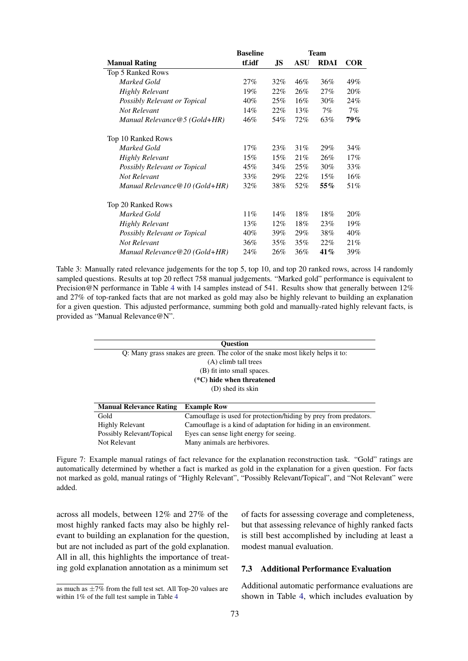<span id="page-10-0"></span>

|                                  | <b>Baseline</b> | <b>Team</b> |            |             |            |  |
|----------------------------------|-----------------|-------------|------------|-------------|------------|--|
| <b>Manual Rating</b>             | tf.idf          | JS          | <b>ASU</b> | <b>RDAI</b> | <b>COR</b> |  |
| Top 5 Ranked Rows                |                 |             |            |             |            |  |
| Marked Gold                      | 27%             | 32%         | 46%        | 36%         | 49%        |  |
| <b>Highly Relevant</b>           | 19%             | 22%         | 26%        | 27%         | 20%        |  |
| Possibly Relevant or Topical     | 40%             | 25%         | 16%        | 30%         | 24%        |  |
| Not Relevant                     | 14%             | 22%         | 13%        | $7\%$       | $7\%$      |  |
| Manual Relevance $@5$ (Gold+HR)  | 46%             | 54%         | 72%        | 63%         | 79%        |  |
| Top 10 Ranked Rows               |                 |             |            |             |            |  |
| Marked Gold                      | 17%             | 23%         | 31%        | 29%         | 34%        |  |
| Highly Relevant                  | 15%             | 15%         | 21%        | 26%         | 17%        |  |
| Possibly Relevant or Topical     | 45%             | 34%         | 25%        | 30%         | 33%        |  |
| Not Relevant                     | 33%             | 29%         | 22%        | 15%         | 16%        |  |
| Manual Relevance $@10$ (Gold+HR) | $32\%$          | 38%         | 52%        | $55\%$      | 51%        |  |
| Top 20 Ranked Rows               |                 |             |            |             |            |  |
| Marked Gold                      | $11\%$          | 14%         | 18%        | 18%         | 20%        |  |
| <b>Highly Relevant</b>           | 13%             | $12\%$      | 18%        | 23%         | 19%        |  |
| Possibly Relevant or Topical     | 40%             | 39%         | 29%        | 38%         | 40%        |  |
| Not Relevant                     | 36%             | 35%         | 35%        | 22%         | 21%        |  |
| Manual Relevance $@20$ (Gold+HR) | 24%             | 26%         | 36%        | 41%         | 39%        |  |

Table 3: Manually rated relevance judgements for the top 5, top 10, and top 20 ranked rows, across 14 randomly sampled questions. Results at top 20 reflect 758 manual judgements. "Marked gold" performance is equivalent to Precision@N performance in Table [4](#page-11-0) with 14 samples instead of 541. Results show that generally between 12% and 27% of top-ranked facts that are not marked as gold may also be highly relevant to building an explanation for a given question. This adjusted performance, summing both gold and manually-rated highly relevant facts, is provided as "Manual Relevance@N".

<span id="page-10-1"></span>

| <b>Ouestion</b>                |                                                                                 |  |  |  |  |  |
|--------------------------------|---------------------------------------------------------------------------------|--|--|--|--|--|
|                                | Q: Many grass snakes are green. The color of the snake most likely helps it to: |  |  |  |  |  |
| (A) climb tall trees           |                                                                                 |  |  |  |  |  |
|                                | (B) fit into small spaces.                                                      |  |  |  |  |  |
|                                | $(*C)$ hide when threatened                                                     |  |  |  |  |  |
| (D) shed its skin              |                                                                                 |  |  |  |  |  |
|                                |                                                                                 |  |  |  |  |  |
| <b>Manual Relevance Rating</b> | <b>Example Row</b>                                                              |  |  |  |  |  |
| Gold                           | Camouflage is used for protection/hiding by prey from predators.                |  |  |  |  |  |
| <b>Highly Relevant</b>         | Camouflage is a kind of adaptation for hiding in an environment.                |  |  |  |  |  |
| Possibly Relevant/Topical      | Eyes can sense light energy for seeing.                                         |  |  |  |  |  |

Figure 7: Example manual ratings of fact relevance for the explanation reconstruction task. "Gold" ratings are automatically determined by whether a fact is marked as gold in the explanation for a given question. For facts not marked as gold, manual ratings of "Highly Relevant", "Possibly Relevant/Topical", and "Not Relevant" were added.

Not Relevant Many animals are herbivores.

across all models, between 12% and 27% of the most highly ranked facts may also be highly relevant to building an explanation for the question, but are not included as part of the gold explanation. All in all, this highlights the importance of treating gold explanation annotation as a minimum set

of facts for assessing coverage and completeness, but that assessing relevance of highly ranked facts is still best accomplished by including at least a modest manual evaluation.

#### 7.3 Additional Performance Evaluation

Additional automatic performance evaluations are shown in Table [4,](#page-11-0) which includes evaluation by

as much as  $\pm 7\%$  from the full test set. All Top-20 values are within 1% of the full test sample in Table [4](#page-11-0)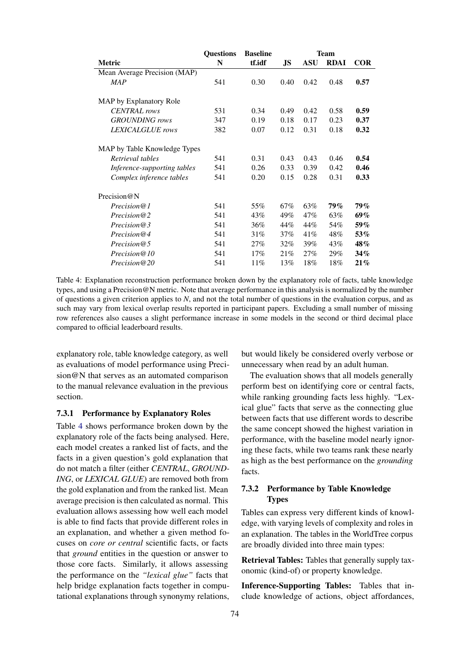<span id="page-11-0"></span>

|                              | <b>Questions</b> | <b>Baseline</b> | <b>Team</b> |            |             |            |  |
|------------------------------|------------------|-----------------|-------------|------------|-------------|------------|--|
| Metric                       | N                | tf.idf          | JS          | <b>ASU</b> | <b>RDAI</b> | <b>COR</b> |  |
| Mean Average Precision (MAP) |                  |                 |             |            |             |            |  |
| <b>MAP</b>                   | 541              | 0.30            | 0.40        | 0.42       | 0.48        | 0.57       |  |
| MAP by Explanatory Role      |                  |                 |             |            |             |            |  |
| <b>CENTRAL</b> rows          | 531              | 0.34            | 0.49        | 0.42       | 0.58        | 0.59       |  |
| <b>GROUNDING</b> rows        | 347              | 0.19            | 0.18        | 0.17       | 0.23        | 0.37       |  |
| LEXICALGLUE rows             | 382              | 0.07            | 0.12        | 0.31       | 0.18        | 0.32       |  |
| MAP by Table Knowledge Types |                  |                 |             |            |             |            |  |
| Retrieval tables             | 541              | 0.31            | 0.43        | 0.43       | 0.46        | 0.54       |  |
| Inference-supporting tables  | 541              | 0.26            | 0.33        | 0.39       | 0.42        | 0.46       |  |
| Complex inference tables     | 541              | 0.20            | 0.15        | 0.28       | 0.31        | 0.33       |  |
| Precision $@N$               |                  |                 |             |            |             |            |  |
| Precision@1                  | 541              | 55%             | 67%         | 63%        | <b>79%</b>  | 79%        |  |
| Precision@2                  | 541              | 43%             | 49%         | 47%        | 63%         | 69%        |  |
| Precision@3                  | 541              | 36%             | 44%         | 44%        | 54%         | $59\%$     |  |
| Precision@4                  | 541              | 31%             | 37%         | 41%        | 48%         | 53%        |  |
| Precision@5                  | 541              | 27%             | $32\%$      | 39%        | 43%         | 48%        |  |
| Precision@10                 | 541              | 17%             | 21%         | 27%        | 29%         | 34%        |  |
| Precision@20                 | 541              | 11%             | 13%         | 18%        | 18%         | 21%        |  |

Table 4: Explanation reconstruction performance broken down by the explanatory role of facts, table knowledge types, and using a Precision@N metric. Note that average performance in this analysis is normalized by the number of questions a given criterion applies to *N*, and not the total number of questions in the evaluation corpus, and as such may vary from lexical overlap results reported in participant papers. Excluding a small number of missing row references also causes a slight performance increase in some models in the second or third decimal place compared to official leaderboard results.

explanatory role, table knowledge category, as well as evaluations of model performance using Precision@N that serves as an automated comparison to the manual relevance evaluation in the previous section.

### 7.3.1 Performance by Explanatory Roles

Table [4](#page-11-0) shows performance broken down by the explanatory role of the facts being analysed. Here, each model creates a ranked list of facts, and the facts in a given question's gold explanation that do not match a filter (either *CENTRAL*, *GROUND-ING*, or *LEXICAL GLUE*) are removed both from the gold explanation and from the ranked list. Mean average precision is then calculated as normal. This evaluation allows assessing how well each model is able to find facts that provide different roles in an explanation, and whether a given method focuses on *core or central* scientific facts, or facts that *ground* entities in the question or answer to those core facts. Similarly, it allows assessing the performance on the *"lexical glue"* facts that help bridge explanation facts together in computational explanations through synonymy relations,

but would likely be considered overly verbose or unnecessary when read by an adult human.

The evaluation shows that all models generally perform best on identifying core or central facts, while ranking grounding facts less highly. "Lexical glue" facts that serve as the connecting glue between facts that use different words to describe the same concept showed the highest variation in performance, with the baseline model nearly ignoring these facts, while two teams rank these nearly as high as the best performance on the *grounding* facts.

### 7.3.2 Performance by Table Knowledge **Types**

Tables can express very different kinds of knowledge, with varying levels of complexity and roles in an explanation. The tables in the WorldTree corpus are broadly divided into three main types:

Retrieval Tables: Tables that generally supply taxonomic (kind-of) or property knowledge.

Inference-Supporting Tables: Tables that include knowledge of actions, object affordances,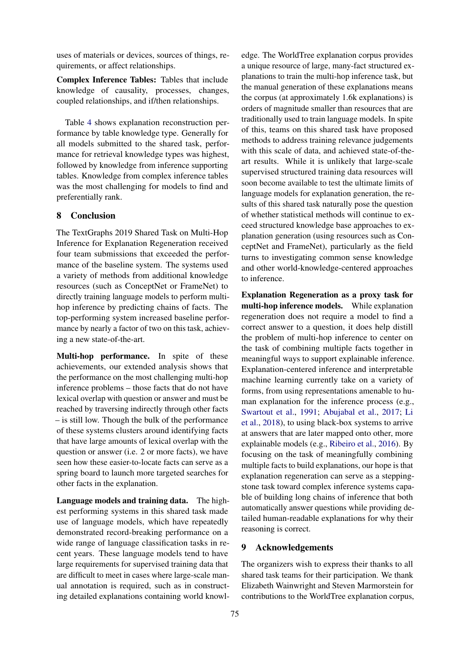uses of materials or devices, sources of things, requirements, or affect relationships.

Complex Inference Tables: Tables that include knowledge of causality, processes, changes, coupled relationships, and if/then relationships.

Table [4](#page-11-0) shows explanation reconstruction performance by table knowledge type. Generally for all models submitted to the shared task, performance for retrieval knowledge types was highest, followed by knowledge from inference supporting tables. Knowledge from complex inference tables was the most challenging for models to find and preferentially rank.

#### 8 Conclusion

The TextGraphs 2019 Shared Task on Multi-Hop Inference for Explanation Regeneration received four team submissions that exceeded the performance of the baseline system. The systems used a variety of methods from additional knowledge resources (such as ConceptNet or FrameNet) to directly training language models to perform multihop inference by predicting chains of facts. The top-performing system increased baseline performance by nearly a factor of two on this task, achieving a new state-of-the-art.

Multi-hop performance. In spite of these achievements, our extended analysis shows that the performance on the most challenging multi-hop inference problems – those facts that do not have lexical overlap with question or answer and must be reached by traversing indirectly through other facts – is still low. Though the bulk of the performance of these systems clusters around identifying facts that have large amounts of lexical overlap with the question or answer (i.e. 2 or more facts), we have seen how these easier-to-locate facts can serve as a spring board to launch more targeted searches for other facts in the explanation.

Language models and training data. The highest performing systems in this shared task made use of language models, which have repeatedly demonstrated record-breaking performance on a wide range of language classification tasks in recent years. These language models tend to have large requirements for supervised training data that are difficult to meet in cases where large-scale manual annotation is required, such as in constructing detailed explanations containing world knowledge. The WorldTree explanation corpus provides a unique resource of large, many-fact structured explanations to train the multi-hop inference task, but the manual generation of these explanations means the corpus (at approximately 1.6k explanations) is orders of magnitude smaller than resources that are traditionally used to train language models. In spite of this, teams on this shared task have proposed methods to address training relevance judgements with this scale of data, and achieved state-of-theart results. While it is unlikely that large-scale supervised structured training data resources will soon become available to test the ultimate limits of language models for explanation generation, the results of this shared task naturally pose the question of whether statistical methods will continue to exceed structured knowledge base approaches to explanation generation (using resources such as ConceptNet and FrameNet), particularly as the field turns to investigating common sense knowledge and other world-knowledge-centered approaches to inference.

Explanation Regeneration as a proxy task for multi-hop inference models. While explanation regeneration does not require a model to find a correct answer to a question, it does help distill the problem of multi-hop inference to center on the task of combining multiple facts together in meaningful ways to support explainable inference. Explanation-centered inference and interpretable machine learning currently take on a variety of forms, from using representations amenable to human explanation for the inference process (e.g., [Swartout et al.,](#page-14-15) [1991;](#page-14-15) [Abujabal et al.,](#page-13-13) [2017;](#page-13-13) [Li](#page-14-16) [et al.,](#page-14-16) [2018\)](#page-14-16), to using black-box systems to arrive at answers that are later mapped onto other, more explainable models (e.g., [Ribeiro et al.,](#page-14-17) [2016\)](#page-14-17). By focusing on the task of meaningfully combining multiple facts to build explanations, our hope is that explanation regeneration can serve as a steppingstone task toward complex inference systems capable of building long chains of inference that both automatically answer questions while providing detailed human-readable explanations for why their reasoning is correct.

### 9 Acknowledgements

The organizers wish to express their thanks to all shared task teams for their participation. We thank Elizabeth Wainwright and Steven Marmorstein for contributions to the WorldTree explanation corpus,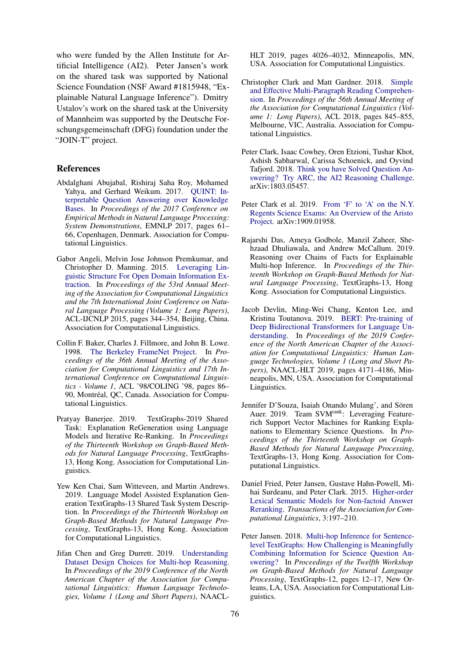who were funded by the Allen Institute for Artificial Intelligence (AI2). Peter Jansen's work on the shared task was supported by National Science Foundation (NSF Award #1815948, "Explainable Natural Language Inference"). Dmitry Ustalov's work on the shared task at the University of Mannheim was supported by the Deutsche Forschungsgemeinschaft (DFG) foundation under the "JOIN-T" project.

#### References

- <span id="page-13-13"></span>Abdalghani Abujabal, Rishiraj Saha Roy, Mohamed Yahya, and Gerhard Weikum. 2017. [QUINT: In](https://doi.org/10.18653/v1/D17-2011)[terpretable Question Answering over Knowledge](https://doi.org/10.18653/v1/D17-2011) [Bases.](https://doi.org/10.18653/v1/D17-2011) In *Proceedings of the 2017 Conference on Empirical Methods in Natural Language Processing: System Demonstrations*, EMNLP 2017, pages 61– 66, Copenhagen, Denmark. Association for Computational Linguistics.
- <span id="page-13-8"></span>Gabor Angeli, Melvin Jose Johnson Premkumar, and Christopher D. Manning. 2015. [Leveraging Lin](https://doi.org/10.3115/v1/P15-1034)[guistic Structure For Open Domain Information Ex](https://doi.org/10.3115/v1/P15-1034)[traction.](https://doi.org/10.3115/v1/P15-1034) In *Proceedings of the 53rd Annual Meeting of the Association for Computational Linguistics and the 7th International Joint Conference on Natural Language Processing (Volume 1: Long Papers)*, ACL-IJCNLP 2015, pages 344–354, Beijing, China. Association for Computational Linguistics.
- <span id="page-13-5"></span>Collin F. Baker, Charles J. Fillmore, and John B. Lowe. 1998. [The Berkeley FrameNet Project.](https://doi.org/10.3115/980845.980860) In *Proceedings of the 36th Annual Meeting of the Association for Computational Linguistics and 17th International Conference on Computational Linguistics - Volume 1*, ACL '98/COLING '98, pages 86– 90, Montréal, QC, Canada. Association for Computational Linguistics.
- <span id="page-13-9"></span>Pratyay Banerjee. 2019. TextGraphs-2019 Shared Task: Explanation ReGeneration using Language Models and Iterative Re-Ranking. In *Proceedings of the Thirteenth Workshop on Graph-Based Methods for Natural Language Processing*, TextGraphs-13, Hong Kong. Association for Computational Linguistics.
- <span id="page-13-11"></span>Yew Ken Chai, Sam Witteveen, and Martin Andrews. 2019. Language Model Assisted Explanation Generation TextGraphs-13 Shared Task System Description. In *Proceedings of the Thirteenth Workshop on Graph-Based Methods for Natural Language Processing*, TextGraphs-13, Hong Kong. Association for Computational Linguistics.
- <span id="page-13-3"></span>Jifan Chen and Greg Durrett. 2019. [Understanding](https://doi.org/10.18653/v1/N19-1405) [Dataset Design Choices for Multi-hop Reasoning.](https://doi.org/10.18653/v1/N19-1405) In *Proceedings of the 2019 Conference of the North American Chapter of the Association for Computational Linguistics: Human Language Technologies, Volume 1 (Long and Short Papers)*, NAACL-

HLT 2019, pages 4026–4032, Minneapolis, MN, USA. Association for Computational Linguistics.

- <span id="page-13-2"></span>Christopher Clark and Matt Gardner. 2018. [Simple](https://doi.org/10.18653/v1/P18-1078) [and Effective Multi-Paragraph Reading Comprehen](https://doi.org/10.18653/v1/P18-1078)[sion.](https://doi.org/10.18653/v1/P18-1078) In *Proceedings of the 56th Annual Meeting of the Association for Computational Linguistics (Volume 1: Long Papers)*, ACL 2018, pages 845–855, Melbourne, VIC, Australia. Association for Computational Linguistics.
- <span id="page-13-6"></span>Peter Clark, Isaac Cowhey, Oren Etzioni, Tushar Khot, Ashish Sabharwal, Carissa Schoenick, and Oyvind Tafjord. 2018. [Think you have Solved Question An](http://arxiv.org/abs/1803.05457)[swering? Try ARC, the AI2 Reasoning Challenge.](http://arxiv.org/abs/1803.05457) arXiv:1803.05457.
- <span id="page-13-0"></span>Peter Clark et al. 2019. [From 'F' to 'A' on the N.Y.](http://arxiv.org/abs/1909.01958) [Regents Science Exams: An Overview of the Aristo](http://arxiv.org/abs/1909.01958) [Project.](http://arxiv.org/abs/1909.01958) arXiv:1909.01958.
- <span id="page-13-12"></span>Rajarshi Das, Ameya Godbole, Manzil Zaheer, Shehzaad Dhuliawala, and Andrew McCallum. 2019. Reasoning over Chains of Facts for Explainable Multi-hop Inference. In *Proceedings of the Thirteenth Workshop on Graph-Based Methods for Natural Language Processing*, TextGraphs-13, Hong Kong. Association for Computational Linguistics.
- <span id="page-13-10"></span>Jacob Devlin, Ming-Wei Chang, Kenton Lee, and Kristina Toutanova. 2019. [BERT: Pre-training of](https://doi.org/10.18653/v1/N19-1423) [Deep Bidirectional Transformers for Language Un](https://doi.org/10.18653/v1/N19-1423)[derstanding.](https://doi.org/10.18653/v1/N19-1423) In *Proceedings of the 2019 Conference of the North American Chapter of the Association for Computational Linguistics: Human Language Technologies, Volume 1 (Long and Short Papers)*, NAACL-HLT 2019, pages 4171–4186, Minneapolis, MN, USA. Association for Computational Linguistics.
- <span id="page-13-7"></span>Jennifer D'Souza, Isaiah Onando Mulang', and Sören Auer. 2019. Team SVM<sup>rank</sup>: Leveraging Featurerich Support Vector Machines for Ranking Explanations to Elementary Science Questions. In *Proceedings of the Thirteenth Workshop on Graph-Based Methods for Natural Language Processing*, TextGraphs-13, Hong Kong. Association for Computational Linguistics.
- <span id="page-13-1"></span>Daniel Fried, Peter Jansen, Gustave Hahn-Powell, Mihai Surdeanu, and Peter Clark. 2015. [Higher-order](https://doi.org/10.1162/tacl_a_00133) [Lexical Semantic Models for Non-factoid Answer](https://doi.org/10.1162/tacl_a_00133) [Reranking.](https://doi.org/10.1162/tacl_a_00133) *Transactions of the Association for Computational Linguistics*, 3:197–210.
- <span id="page-13-4"></span>Peter Jansen. 2018. [Multi-hop Inference for Sentence](https://doi.org/10.18653/v1/W18-1703)[level TextGraphs: How Challenging is Meaningfully](https://doi.org/10.18653/v1/W18-1703) [Combining Information for Science Question An](https://doi.org/10.18653/v1/W18-1703)[swering?](https://doi.org/10.18653/v1/W18-1703) In *Proceedings of the Twelfth Workshop on Graph-Based Methods for Natural Language Processing*, TextGraphs-12, pages 12–17, New Orleans, LA, USA. Association for Computational Linguistics.